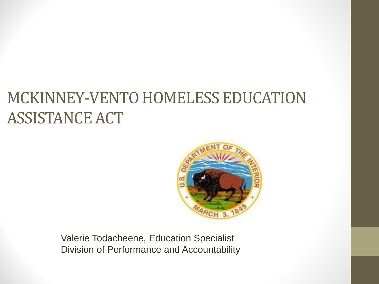#### MCKINNEY-VENTO HOMELESS EDUCATION ASSISTANCE ACT



Valerie Todacheene, Education Specialist Division of Performance and Accountability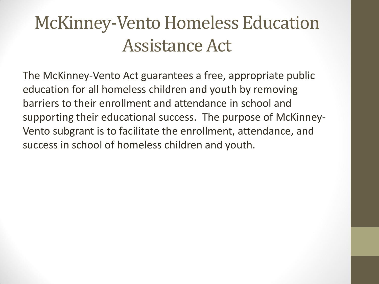### McKinney-Vento Homeless Education Assistance Act

The McKinney-Vento Act guarantees a free, appropriate public education for all homeless children and youth by removing barriers to their enrollment and attendance in school and supporting their educational success. The purpose of McKinney-Vento subgrant is to facilitate the enrollment, attendance, and success in school of homeless children and youth.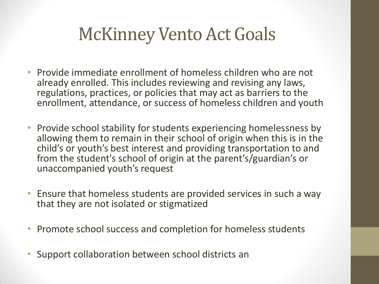#### McKinney Vento Act Goals

- Provide immediate enrollment of homeless children who are not already enrolled. This includes reviewing and revising any laws, regulations, practices, or policies that may act as barriers to the enrollment, attendance, or success of homeless children and youth
- Provide school stability for students experiencing homelessness by allowing them to remain in their school of origin when this is in the child's or youth's best interest and providing transportation to and from the student's school of origin at the parent's/guardian's or unaccompanied youth's request
- Ensure that homeless students are provided services in such a way that they are not isolated or stigmatized
- Promote school success and completion for homeless students
- Support collaboration between school districts an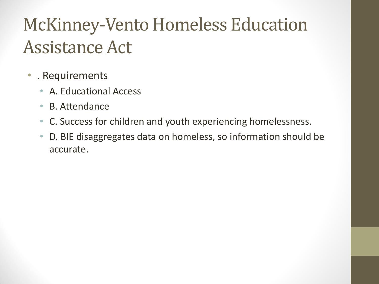## McKinney-Vento Homeless Education Assistance Act

- . Requirements
	- A. Educational Access
	- B. Attendance
	- C. Success for children and youth experiencing homelessness.
	- D. BIE disaggregates data on homeless, so information should be accurate.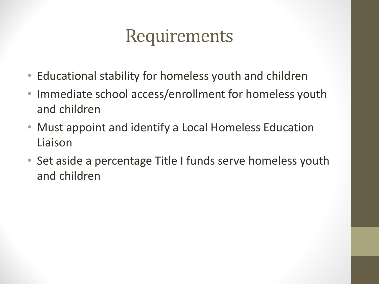#### Requirements

- Educational stability for homeless youth and children
- Immediate school access/enrollment for homeless youth and children
- Must appoint and identify a Local Homeless Education Liaison
- Set aside a percentage Title I funds serve homeless youth and children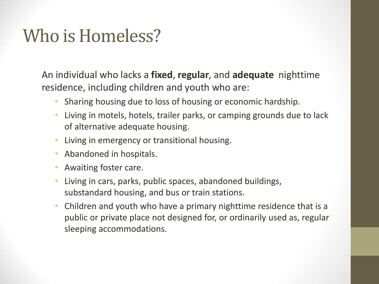#### Who is Homeless?

An individual who lacks a **fixed**, **regular**, and **adequate** nighttime residence, including children and youth who are:

- Sharing housing due to loss of housing or economic hardship.
- Living in motels, hotels, trailer parks, or camping grounds due to lack of alternative adequate housing.
- Living in emergency or transitional housing.
- Abandoned in hospitals.
- Awaiting foster care.
- Living in cars, parks, public spaces, abandoned buildings, substandard housing, and bus or train stations.
- Children and youth who have a primary nighttime residence that is a public or private place not designed for, or ordinarily used as, regular sleeping accommodations.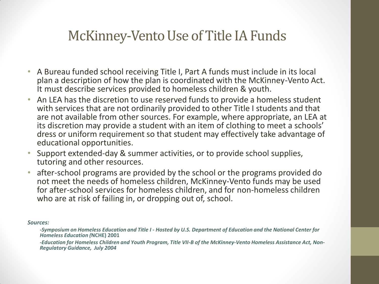#### McKinney-Vento Use of Title IA Funds

- A Bureau funded school receiving Title I, Part A funds must include in its local plan a description of how the plan is coordinated with the McKinney-Vento Act. It must describe services provided to homeless children & youth.
- An LEA has the discretion to use reserved funds to provide a homeless student with services that are not ordinarily provided to other Title I students and that are not available from other sources. For example, where appropriate, an LEA at its discretion may provide a student with an item of clothing to meet a schools' dress or uniform requirement so that student may effectively take advantage of educational opportunities.
- Support extended-day & summer activities, or to provide school supplies, tutoring and other resources.
- after-school programs are provided by the school or the programs provided do not meet the needs of homeless children, McKinney-Vento funds may be used for after-school services for homeless children, and for non-homeless children who are at risk of failing in, or dropping out of, school.

*Sources:* 

*-Symposium on Homeless Education and Title I - Hosted by U.S. Department of Education and the National Center for Homeless Education (***NCHE) 2001**

*-Education for Homeless Children and Youth Program, Title VII-B of the McKinney-Vento Homeless Assistance Act, Non-Regulatory Guidance, July 2004*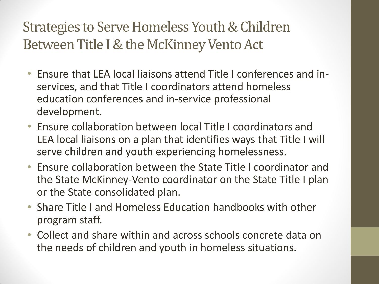Strategies to Serve Homeless Youth & Children Between Title I & the McKinney Vento Act

- Ensure that LEA local liaisons attend Title I conferences and inservices, and that Title I coordinators attend homeless education conferences and in-service professional development.
- Ensure collaboration between local Title I coordinators and LEA local liaisons on a plan that identifies ways that Title I will serve children and youth experiencing homelessness.
- Ensure collaboration between the State Title I coordinator and the State McKinney-Vento coordinator on the State Title I plan or the State consolidated plan.
- Share Title I and Homeless Education handbooks with other program staff.
- Collect and share within and across schools concrete data on the needs of children and youth in homeless situations.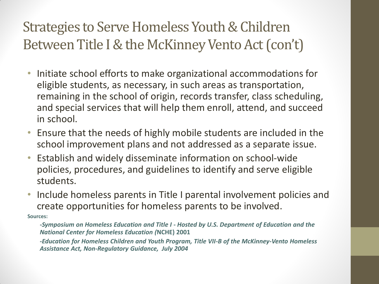#### Strategies to Serve Homeless Youth & Children Between Title I & the McKinney Vento Act (con't)

- Initiate school efforts to make organizational accommodations for eligible students, as necessary, in such areas as transportation, remaining in the school of origin, records transfer, class scheduling, and special services that will help them enroll, attend, and succeed in school.
- Ensure that the needs of highly mobile students are included in the school improvement plans and not addressed as a separate issue.
- Establish and widely disseminate information on school-wide policies, procedures, and guidelines to identify and serve eligible students.
- Include homeless parents in Title I parental involvement policies and create opportunities for homeless parents to be involved. **Sources:**

*-Symposium on Homeless Education and Title I - Hosted by U.S. Department of Education and the National Center for Homeless Education (***NCHE) 2001**

*-Education for Homeless Children and Youth Program, Title VII-B of the McKinney-Vento Homeless Assistance Act, Non-Regulatory Guidance, July 2004*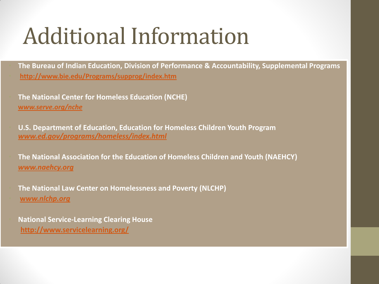# Additional Information

• **The Bureau of Indian Education, Division of Performance & Accountability, Supplemental Programs** • **<http://www.bie.edu/Programs/supprog/index.htm>**

• **The National Center for Homeless Education (NCHE) [w](http://www.serve.org/nche)***[ww.serve.org/nche](http://www.serve.org/nche)*

• **U.S. Department of Education, Education for Homeless Children Youth Program**  *[www.ed.gov/programs/homeless/index.html](http://www.ed.gov/programs/homeless/index.html)* 

• **The National Association for the Education of Homeless Children and Youth (NAEHCY)** *[www.naehcy.org](http://www.naehcy.org/)* 

• **The National Law Center on Homelessness and Poverty (NLCHP)** • **[w](http://www.nlchp.org/)***[ww.nlchp.org](http://www.nlchp.org/)*

• **National Service-Learning Clearing House <http://www.servicelearning.org/>**